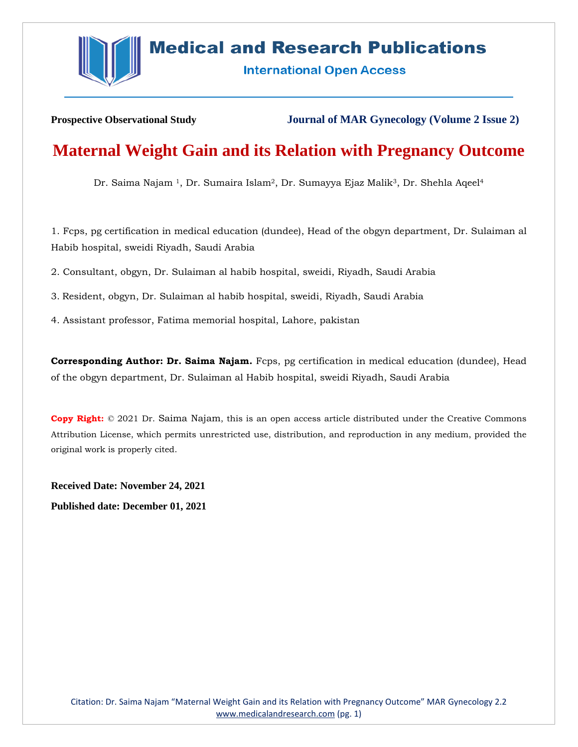

# **Medical and Research Publications**

**International Open Access** 

**Prospective Observational Study Journal of MAR Gynecology (Volume 2 Issue 2)**

# **Maternal Weight Gain and its Relation with Pregnancy Outcome**

Dr. Saima Najam <sup>1</sup>, Dr. Sumaira Islam<sup>2</sup>, Dr. Sumayya Ejaz Malik<sup>3</sup>, Dr. Shehla Aqeel<sup>4</sup>

1. Fcps, pg certification in medical education (dundee), Head of the obgyn department, Dr. Sulaiman al Habib hospital, sweidi Riyadh, Saudi Arabia

2. Consultant, obgyn, Dr. Sulaiman al habib hospital, sweidi, Riyadh, Saudi Arabia

3. Resident, obgyn, Dr. Sulaiman al habib hospital, sweidi, Riyadh, Saudi Arabia

4. Assistant professor, Fatima memorial hospital, Lahore, pakistan

**Corresponding Author: Dr. Saima Najam.** Fcps, pg certification in medical education (dundee), Head of the obgyn department, Dr. Sulaiman al Habib hospital, sweidi Riyadh, Saudi Arabia

**Copy Right:** © 2021 Dr. Saima Najam, this is an open access article distributed under the Creative Commons Attribution License, which permits unrestricted use, distribution, and reproduction in any medium, provided the original work is properly cited.

**Received Date: November 24, 2021 Published date: December 01, 2021**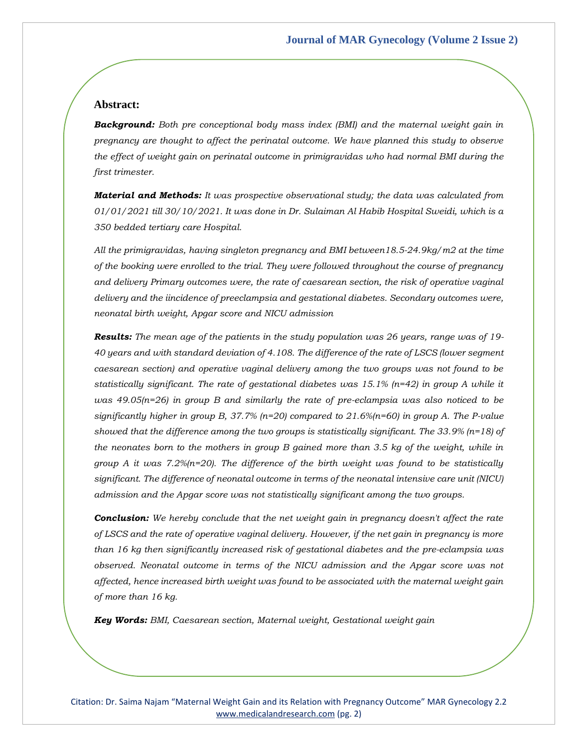## **Abstract:**

*Background: Both pre conceptional body mass index (BMI) and the maternal weight gain in pregnancy are thought to affect the perinatal outcome. We have planned this study to observe the effect of weight gain on perinatal outcome in primigravidas who had normal BMI during the first trimester.*

*Material and Methods: It was prospective observational study; the data was calculated from 01/01/2021 till 30/10/2021. It was done in Dr. Sulaiman Al Habib Hospital Sweidi, which is a 350 bedded tertiary care Hospital.* 

*All the primigravidas, having singleton pregnancy and BMI between18.5-24.9kg/m2 at the time of the booking were enrolled to the trial. They were followed throughout the course of pregnancy and delivery Primary outcomes were, the rate of caesarean section, the risk of operative vaginal delivery and the iincidence of preeclampsia and gestational diabetes. Secondary outcomes were, neonatal birth weight, Apgar score and NICU admission*

*Results: The mean age of the patients in the study population was 26 years, range was of 19- 40 years and with standard deviation of 4.108. The difference of the rate of LSCS (lower segment caesarean section) and operative vaginal delivery among the two groups was not found to be statistically significant. The rate of gestational diabetes was 15.1% (n=42) in group A while it was 49.05(n=26) in group B and similarly the rate of pre-eclampsia was also noticed to be significantly higher in group B, 37.7% (n=20) compared to 21.6%(n=60) in group A. The P-value showed that the difference among the two groups is statistically significant. The 33.9% (n=18) of the neonates born to the mothers in group B gained more than 3.5 kg of the weight, while in group A it was 7.2%(n=20). The difference of the birth weight was found to be statistically significant. The difference of neonatal outcome in terms of the neonatal intensive care unit (NICU) admission and the Apgar score was not statistically significant among the two groups.*

*Conclusion: We hereby conclude that the net weight gain in pregnancy doesn't affect the rate of LSCS and the rate of operative vaginal delivery. However, if the net gain in pregnancy is more than 16 kg then significantly increased risk of gestational diabetes and the pre-eclampsia was observed. Neonatal outcome in terms of the NICU admission and the Apgar score was not affected, hence increased birth weight was found to be associated with the maternal weight gain of more than 16 kg.*

*Key Words: BMI, Caesarean section, Maternal weight, Gestational weight gain*

Citation: Dr. Saima Najam "Maternal Weight Gain and its Relation with Pregnancy Outcome" MAR Gynecology 2.2 [www.medicalandresearch.com](http://www.medicalandresearch.com/) (pg. 2)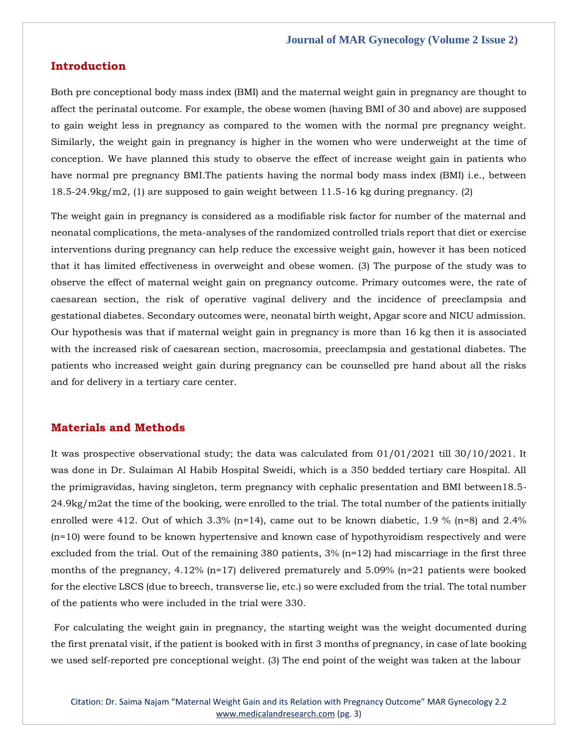## **Introduction**

Both pre conceptional body mass index (BMI) and the maternal weight gain in pregnancy are thought to affect the perinatal outcome. For example, the obese women (having BMI of 30 and above) are supposed to gain weight less in pregnancy as compared to the women with the normal pre pregnancy weight. Similarly, the weight gain in pregnancy is higher in the women who were underweight at the time of conception. We have planned this study to observe the effect of increase weight gain in patients who have normal pre pregnancy BMI.The patients having the normal body mass index (BMI) i.e., between  $18.5-24.9\text{kg/m2}$ , (1) are supposed to gain weight between 11.5-16 kg during pregnancy. (2)

The weight gain in pregnancy is considered as a modifiable risk factor for number of the maternal and neonatal complications, the meta-analyses of the randomized controlled trials report that diet or exercise interventions during pregnancy can help reduce the excessive weight gain, however it has been noticed that it has limited effectiveness in overweight and obese women. (3) The purpose of the study was to observe the effect of maternal weight gain on pregnancy outcome. Primary outcomes were, the rate of caesarean section, the risk of operative vaginal delivery and the incidence of preeclampsia and gestational diabetes. Secondary outcomes were, neonatal birth weight, Apgar score and NICU admission. Our hypothesis was that if maternal weight gain in pregnancy is more than 16 kg then it is associated with the increased risk of caesarean section, macrosomia, preeclampsia and gestational diabetes. The patients who increased weight gain during pregnancy can be counselled pre hand about all the risks and for delivery in a tertiary care center.

## **Materials and Methods**

It was prospective observational study; the data was calculated from 01/01/2021 till 30/10/2021. It was done in Dr. Sulaiman Al Habib Hospital Sweidi, which is a 350 bedded tertiary care Hospital. All the primigravidas, having singleton, term pregnancy with cephalic presentation and BMI between18.5- 24.9kg/m2at the time of the booking, were enrolled to the trial. The total number of the patients initially enrolled were 412. Out of which 3.3% (n=14), came out to be known diabetic, 1.9 % (n=8) and 2.4% (n=10) were found to be known hypertensive and known case of hypothyroidism respectively and were excluded from the trial. Out of the remaining 380 patients,  $3\%$  (n=12) had miscarriage in the first three months of the pregnancy, 4.12% (n=17) delivered prematurely and 5.09% (n=21 patients were booked for the elective LSCS (due to breech, transverse lie, etc.) so were excluded from the trial. The total number of the patients who were included in the trial were 330.

For calculating the weight gain in pregnancy, the starting weight was the weight documented during the first prenatal visit, if the patient is booked with in first 3 months of pregnancy, in case of late booking we used self-reported pre conceptional weight. (3) The end point of the weight was taken at the labour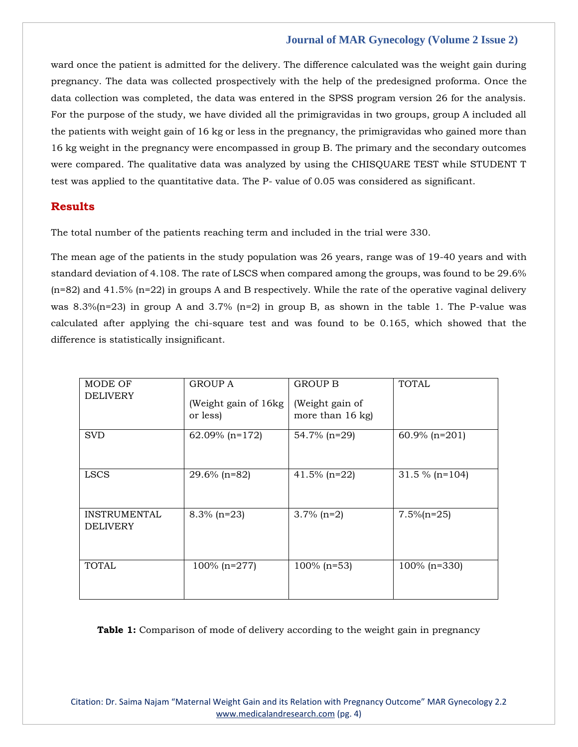ward once the patient is admitted for the delivery. The difference calculated was the weight gain during pregnancy. The data was collected prospectively with the help of the predesigned proforma. Once the data collection was completed, the data was entered in the SPSS program version 26 for the analysis. For the purpose of the study, we have divided all the primigravidas in two groups, group A included all the patients with weight gain of 16 kg or less in the pregnancy, the primigravidas who gained more than 16 kg weight in the pregnancy were encompassed in group B. The primary and the secondary outcomes were compared. The qualitative data was analyzed by using the CHISQUARE TEST while STUDENT T test was applied to the quantitative data. The P- value of 0.05 was considered as significant.

## **Results**

The total number of the patients reaching term and included in the trial were 330.

The mean age of the patients in the study population was 26 years, range was of 19-40 years and with standard deviation of 4.108. The rate of LSCS when compared among the groups, was found to be 29.6%  $(n=82)$  and 41.5%  $(n=22)$  in groups A and B respectively. While the rate of the operative vaginal delivery was 8.3%( $n=23$ ) in group A and 3.7% ( $n=2$ ) in group B, as shown in the table 1. The P-value was calculated after applying the chi-square test and was found to be 0.165, which showed that the difference is statistically insignificant.

| MODE OF<br><b>DELIVERY</b>             | GROUP A<br>(Weight gain of 16kg)<br>or less) | <b>GROUP B</b><br>(Weight gain of<br>more than $16$ kg) | <b>TOTAL</b>      |
|----------------------------------------|----------------------------------------------|---------------------------------------------------------|-------------------|
| <b>SVD</b>                             | 62.09% $(n=172)$                             | 54.7% (n=29)                                            | $60.9\%$ (n=201)  |
| <b>LSCS</b>                            | $29.6\%$ (n=82)                              | $41.5\%$ (n=22)                                         | $31.5 \%$ (n=104) |
| <b>INSTRUMENTAL</b><br><b>DELIVERY</b> | $8.3\%$ (n=23)                               | $3.7\%$ (n=2)                                           | $7.5\%$ (n=25)    |
| <b>TOTAL</b>                           | $100\%$ (n=277)                              | $100\%$ (n=53)                                          | $100\%$ (n=330)   |

**Table 1:** Comparison of mode of delivery according to the weight gain in pregnancy

Citation: Dr. Saima Najam "Maternal Weight Gain and its Relation with Pregnancy Outcome" MAR Gynecology 2.2 [www.medicalandresearch.com](http://www.medicalandresearch.com/) (pg. 4)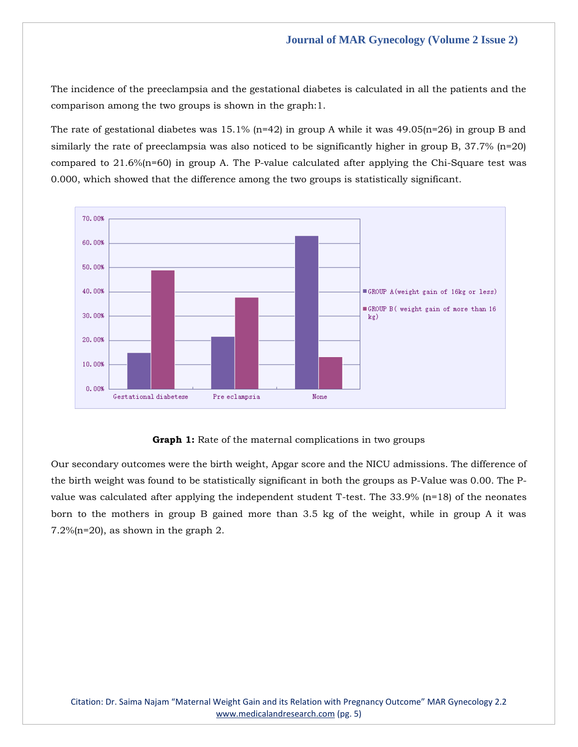The incidence of the preeclampsia and the gestational diabetes is calculated in all the patients and the comparison among the two groups is shown in the graph:1.

The rate of gestational diabetes was 15.1% (n=42) in group A while it was  $49.05(n=26)$  in group B and similarly the rate of preeclampsia was also noticed to be significantly higher in group B, 37.7% (n=20) compared to 21.6%(n=60) in group A. The P-value calculated after applying the Chi-Square test was 0.000, which showed that the difference among the two groups is statistically significant.



## **Graph 1:** Rate of the maternal complications in two groups

Our secondary outcomes were the birth weight, Apgar score and the NICU admissions. The difference of the birth weight was found to be statistically significant in both the groups as P-Value was 0.00. The Pvalue was calculated after applying the independent student T-test. The 33.9% (n=18) of the neonates born to the mothers in group B gained more than 3.5 kg of the weight, while in group A it was 7.2%(n=20), as shown in the graph 2.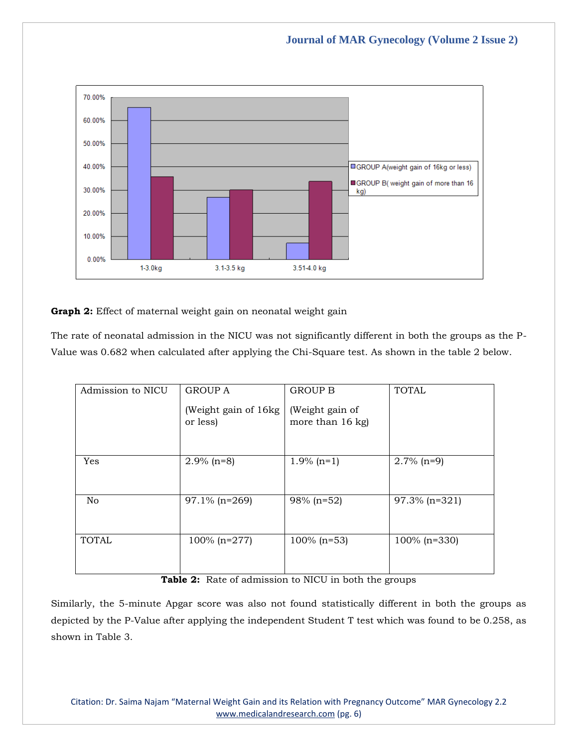

**Graph 2:** Effect of maternal weight gain on neonatal weight gain

The rate of neonatal admission in the NICU was not significantly different in both the groups as the P-Value was 0.682 when calculated after applying the Chi-Square test. As shown in the table 2 below.

| Admission to NICU | <b>GROUP A</b>                    | <b>GROUP B</b>                        | <b>TOTAL</b>    |
|-------------------|-----------------------------------|---------------------------------------|-----------------|
|                   | (Weight gain of 16kg)<br>or less) | (Weight gain of<br>more than $16$ kg) |                 |
| Yes               | $2.9\%$ (n=8)                     | $1.9\%$ (n=1)                         | $2.7\%$ (n=9)   |
| No                | $97.1\%$ (n=269)                  | 98% (n=52)                            | 97.3% (n=321)   |
| <b>TOTAL</b>      | $100\%$ (n=277)                   | $100\%$ (n=53)                        | $100\%$ (n=330) |

**Table 2:** Rate of admission to NICU in both the groups

Similarly, the 5-minute Apgar score was also not found statistically different in both the groups as depicted by the P-Value after applying the independent Student T test which was found to be 0.258, as shown in Table 3.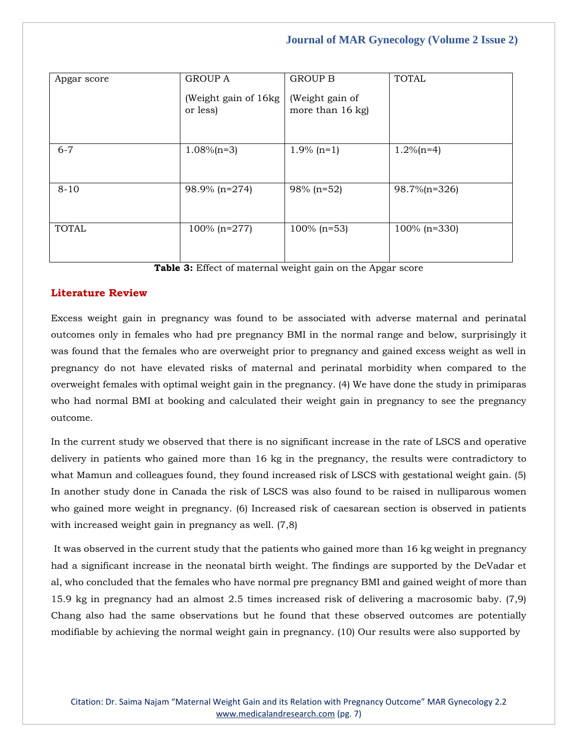| Apgar score  | <b>GROUP A</b>                    | <b>GROUP B</b>                        | <b>TOTAL</b>    |
|--------------|-----------------------------------|---------------------------------------|-----------------|
|              | (Weight gain of 16kg)<br>or less) | (Weight gain of<br>more than $16$ kg) |                 |
| $6 - 7$      | $1.08\%$ (n=3)                    | $1.9\%$ (n=1)                         | $1.2\%$ (n=4)   |
| $8 - 10$     | 98.9% (n=274)                     | 98% (n=52)                            | 98.7%(n=326)    |
| <b>TOTAL</b> | $100\%$ (n=277)                   | $100\%$ (n=53)                        | $100\%$ (n=330) |

**Table 3:** Effect of maternal weight gain on the Apgar score

# **Literature Review**

Excess weight gain in pregnancy was found to be associated with adverse maternal and perinatal outcomes only in females who had pre pregnancy BMI in the normal range and below, surprisingly it was found that the females who are overweight prior to pregnancy and gained excess weight as well in pregnancy do not have elevated risks of maternal and perinatal morbidity when compared to the overweight females with optimal weight gain in the pregnancy. (4) We have done the study in primiparas who had normal BMI at booking and calculated their weight gain in pregnancy to see the pregnancy outcome.

In the current study we observed that there is no significant increase in the rate of LSCS and operative delivery in patients who gained more than 16 kg in the pregnancy, the results were contradictory to what Mamun and colleagues found, they found increased risk of LSCS with gestational weight gain. (5) In another study done in Canada the risk of LSCS was also found to be raised in nulliparous women who gained more weight in pregnancy. (6) Increased risk of caesarean section is observed in patients with increased weight gain in pregnancy as well.  $(7,8)$ 

It was observed in the current study that the patients who gained more than 16 kg weight in pregnancy had a significant increase in the neonatal birth weight. The findings are supported by the DeVadar et al, who concluded that the females who have normal pre pregnancy BMI and gained weight of more than 15.9 kg in pregnancy had an almost 2.5 times increased risk of delivering a macrosomic baby. (7,9) Chang also had the same observations but he found that these observed outcomes are potentially modifiable by achieving the normal weight gain in pregnancy. (10) Our results were also supported by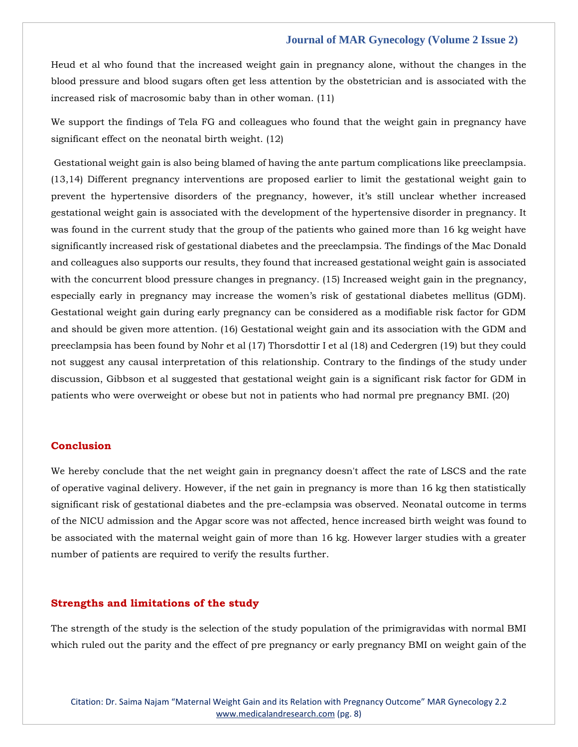Heud et al who found that the increased weight gain in pregnancy alone, without the changes in the blood pressure and blood sugars often get less attention by the obstetrician and is associated with the increased risk of macrosomic baby than in other woman. (11)

We support the findings of Tela FG and colleagues who found that the weight gain in pregnancy have significant effect on the neonatal birth weight. (12)

Gestational weight gain is also being blamed of having the ante partum complications like preeclampsia. (13,14) Different pregnancy interventions are proposed earlier to limit the gestational weight gain to prevent the hypertensive disorders of the pregnancy, however, it's still unclear whether increased gestational weight gain is associated with the development of the hypertensive disorder in pregnancy. It was found in the current study that the group of the patients who gained more than 16 kg weight have significantly increased risk of gestational diabetes and the preeclampsia. The findings of the Mac Donald and colleagues also supports our results, they found that increased gestational weight gain is associated with the concurrent blood pressure changes in pregnancy. (15) Increased weight gain in the pregnancy, especially early in pregnancy may increase the women's risk of gestational diabetes mellitus (GDM). Gestational weight gain during early pregnancy can be considered as a modifiable risk factor for GDM and should be given more attention. (16) Gestational weight gain and its association with the GDM and preeclampsia has been found by Nohr et al (17) Thorsdottir I et al (18) and Cedergren (19) but they could not suggest any causal interpretation of this relationship. Contrary to the findings of the study under discussion, Gibbson et al suggested that gestational weight gain is a significant risk factor for GDM in patients who were overweight or obese but not in patients who had normal pre pregnancy BMI. (20)

## **Conclusion**

We hereby conclude that the net weight gain in pregnancy doesn't affect the rate of LSCS and the rate of operative vaginal delivery. However, if the net gain in pregnancy is more than 16 kg then statistically significant risk of gestational diabetes and the pre-eclampsia was observed. Neonatal outcome in terms of the NICU admission and the Apgar score was not affected, hence increased birth weight was found to be associated with the maternal weight gain of more than 16 kg. However larger studies with a greater number of patients are required to verify the results further.

#### **Strengths and limitations of the study**

The strength of the study is the selection of the study population of the primigravidas with normal BMI which ruled out the parity and the effect of pre pregnancy or early pregnancy BMI on weight gain of the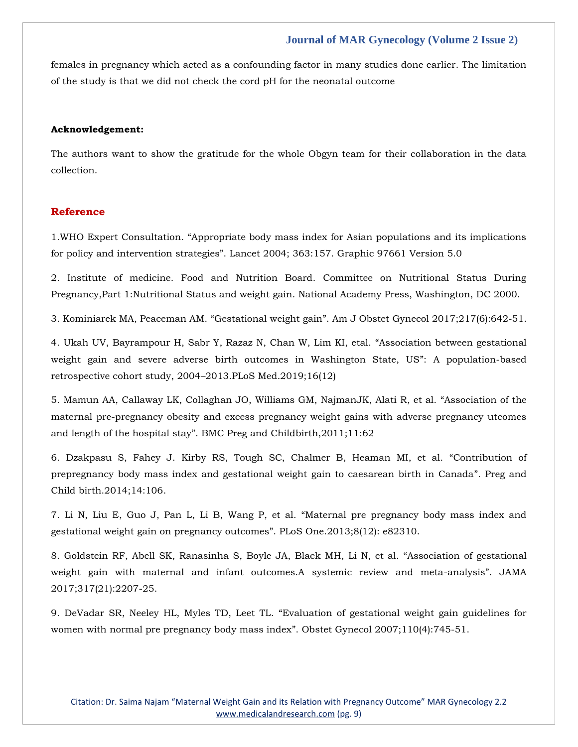females in pregnancy which acted as a confounding factor in many studies done earlier. The limitation of the study is that we did not check the cord pH for the neonatal outcome

#### **Acknowledgement:**

The authors want to show the gratitude for the whole Obgyn team for their collaboration in the data collection.

### **Reference**

1.[WHO Expert Consultation. "Appropriate body mass index for Asian populations and its implications](https://www.google.com/search?q=%E2%80%9CAppropriate+body+mass+index+for+Asian+populations+and+its+implications+for+policy+and+intervention+strategies%E2%80%9D&oq=%E2%80%9CAppropriate+body+mass+index+for+Asian+populations+and+its+implications+for+policy+and+intervention+strategies%E2%80%9D&aqs=chrome..69i57.904j0j15&sourceid=chrome&ie=UTF-8)  [for policy and intervention strategies". Lancet 2004; 363:](https://www.google.com/search?q=%E2%80%9CAppropriate+body+mass+index+for+Asian+populations+and+its+implications+for+policy+and+intervention+strategies%E2%80%9D&oq=%E2%80%9CAppropriate+body+mass+index+for+Asian+populations+and+its+implications+for+policy+and+intervention+strategies%E2%80%9D&aqs=chrome..69i57.904j0j15&sourceid=chrome&ie=UTF-8)157. Graphic 97661 Version 5.0

2. [Institute of medicine. Food and Nutrition Board. Committee on Nutritional Status During](https://www.google.com/search?q=Institute+of+medicine.+Food+and+Nutrition+Board.+Committee+on+Nutritional+Status+During+Pregnancy%2CPart+1%3ANutritional+Status+and+weight+gain.+National+Academy+Press%2C+Washington%2C+DC+2000.&sxsrf=AOaemvIWgcjZmpwRqCdtncnr4026CVvLYg%3A1638000988634&ei=XOmhYe-GJtbsz7sPuLyr4AQ&ved=0ahUKEwjvpMaYjbj0AhVW9nMBHTjeCkwQ4dUDCA4&uact=5&oq=Institute+of+medicine.+Food+and+Nutrition+Board.+Committee+on+Nutritional+Status+During+Pregnancy%2CPart+1%3ANutritional+Status+and+weight+gain.+National+Academy+Press%2C+Washington%2C+DC+2000.&gs_lcp=Cgdnd3Mtd2l6EAMyBwgAEEcQsAMyBwgAEEcQsAMyBwgAEEcQsAMyBwgAEEcQsAMyBwgAEEcQsAMyBwgAEEcQsAMyBwgAEEcQsAMyBwgAEEcQsANKBAhBGABQ7wxY7wxg0BRoAHAIeACAAQCIAQCSAQCYAQCgAQKgAQHIAQjAAQE&sclient=gws-wiz)  [Pregnancy,Part 1:Nutritional Status and weight gain. National Academy Press, Washington, DC 2000.](https://www.google.com/search?q=Institute+of+medicine.+Food+and+Nutrition+Board.+Committee+on+Nutritional+Status+During+Pregnancy%2CPart+1%3ANutritional+Status+and+weight+gain.+National+Academy+Press%2C+Washington%2C+DC+2000.&sxsrf=AOaemvIWgcjZmpwRqCdtncnr4026CVvLYg%3A1638000988634&ei=XOmhYe-GJtbsz7sPuLyr4AQ&ved=0ahUKEwjvpMaYjbj0AhVW9nMBHTjeCkwQ4dUDCA4&uact=5&oq=Institute+of+medicine.+Food+and+Nutrition+Board.+Committee+on+Nutritional+Status+During+Pregnancy%2CPart+1%3ANutritional+Status+and+weight+gain.+National+Academy+Press%2C+Washington%2C+DC+2000.&gs_lcp=Cgdnd3Mtd2l6EAMyBwgAEEcQsAMyBwgAEEcQsAMyBwgAEEcQsAMyBwgAEEcQsAMyBwgAEEcQsAMyBwgAEEcQsAMyBwgAEEcQsAMyBwgAEEcQsANKBAhBGABQ7wxY7wxg0BRoAHAIeACAAQCIAQCSAQCYAQCgAQKgAQHIAQjAAQE&sclient=gws-wiz)

3. [Kominiarek MA, Peaceman AM.](https://www.google.com/search?q=Gestational+weight+gain&sxsrf=AOaemvLIJ6ny-aEN_gmSiFGuu1l89AtVBw%3A1638001014129&ei=dumhYcy3B__jz7sPvoOakAU&ved=0ahUKEwjMytqkjbj0AhX_8XMBHb6BBlIQ4dUDCA4&uact=5&oq=Gestational+weight+gain&gs_lcp=Cgdnd3Mtd2l6EAMyBQgAEIAEMgUIABCABDIFCAAQgAQyCggAEIAEEIcCEBQyBQgAEIAEMgUIABCABDIKCAAQgAQQhwIQFDIFCAAQgAQyBQgAEIAEMgUIABCABDoHCAAQRxCwA0oECEEYAFCADViADWCqGWgAcAZ4AIABdogBdpIBAzAuMZgBAKABAqABAcgBCMABAQ&sclient=gws-wiz) "Gestational weight gain". Am J Obstet Gynecol 2017;217(6):642-51.

4. [Ukah UV, Bayrampour H, Sabr Y, Razaz N, Chan W, Lim KI, etal.](https://www.google.com/search?q=%E2%80%9CAssociation+between+gestational+weight+gain+and+severe+adverse+birth+outcomes+in+Washington+State%2C+US%E2%80%9D&sxsrf=AOaemvK9mRS-N1tjQe5-86sBv5QckrwhvQ%3A1638001072067&ei=sOmhYeHQA6K38QPqqYGYBw&ved=0ahUKEwjh6KrAjbj0AhWiW3wKHepUAHMQ4dUDCA4&uact=5&oq=%E2%80%9CAssociation+between+gestational+weight+gain+and+severe+adverse+birth+outcomes+in+Washington+State%2C+US%E2%80%9D&gs_lcp=Cgdnd3Mtd2l6EAMyBwgjEOoCECcyBwgjEOoCECcyBwgjEOoCECcyBwgjEOoCECcyBwgjEOoCECcyBwgjEOoCECcyBwgjEOoCECcyBwgjEOoCECcyBwgjEOoCECcyBwgjEOoCECc6BwgAEEcQsAM6BwgAELADEENKBAhBGABQ3g1Y3g1gyxloBnACeACAAQCIAQCSAQCYAQCgAQGgAQKwAQrIAQrAAQE&sclient=gws-wiz) "Association between gestational [weight gain and severe adverse birth outcomes in Washington State, US](https://www.google.com/search?q=%E2%80%9CAssociation+between+gestational+weight+gain+and+severe+adverse+birth+outcomes+in+Washington+State%2C+US%E2%80%9D&sxsrf=AOaemvK9mRS-N1tjQe5-86sBv5QckrwhvQ%3A1638001072067&ei=sOmhYeHQA6K38QPqqYGYBw&ved=0ahUKEwjh6KrAjbj0AhWiW3wKHepUAHMQ4dUDCA4&uact=5&oq=%E2%80%9CAssociation+between+gestational+weight+gain+and+severe+adverse+birth+outcomes+in+Washington+State%2C+US%E2%80%9D&gs_lcp=Cgdnd3Mtd2l6EAMyBwgjEOoCECcyBwgjEOoCECcyBwgjEOoCECcyBwgjEOoCECcyBwgjEOoCECcyBwgjEOoCECcyBwgjEOoCECcyBwgjEOoCECcyBwgjEOoCECcyBwgjEOoCECc6BwgAEEcQsAM6BwgAELADEENKBAhBGABQ3g1Y3g1gyxloBnACeACAAQCIAQCSAQCYAQCgAQGgAQKwAQrIAQrAAQE&sclient=gws-wiz)": A population-based [retrospective cohort study, 2004](https://www.google.com/search?q=%E2%80%9CAssociation+between+gestational+weight+gain+and+severe+adverse+birth+outcomes+in+Washington+State%2C+US%E2%80%9D&sxsrf=AOaemvK9mRS-N1tjQe5-86sBv5QckrwhvQ%3A1638001072067&ei=sOmhYeHQA6K38QPqqYGYBw&ved=0ahUKEwjh6KrAjbj0AhWiW3wKHepUAHMQ4dUDCA4&uact=5&oq=%E2%80%9CAssociation+between+gestational+weight+gain+and+severe+adverse+birth+outcomes+in+Washington+State%2C+US%E2%80%9D&gs_lcp=Cgdnd3Mtd2l6EAMyBwgjEOoCECcyBwgjEOoCECcyBwgjEOoCECcyBwgjEOoCECcyBwgjEOoCECcyBwgjEOoCECcyBwgjEOoCECcyBwgjEOoCECcyBwgjEOoCECcyBwgjEOoCECc6BwgAEEcQsAM6BwgAELADEENKBAhBGABQ3g1Y3g1gyxloBnACeACAAQCIAQCSAQCYAQCgAQGgAQKwAQrIAQrAAQE&sclient=gws-wiz)–2013.PLoS Med.2019;16(12)

5. [Mamun AA, Callaway LK, Collaghan JO, Williams GM, NajmanJK, Alati R, et al.](https://www.google.com/search?q=%E2%80%9CAssociation+of+the+maternal+pre-pregnancy+obesity+and+excess+pregnancy+weight+gains+with+adverse+pregnancy+utcomes+and+length+of+the+hospital+stay%E2%80%9D&sxsrf=AOaemvL0mMbt0D4cCOgRMXOQIYOrim-5Ew%3A1638001105583&ei=0emhYbSEI4_C3LUPp6SwwA8&ved=0ahUKEwj0sKjQjbj0AhUPIbcAHScSDPgQ4dUDCA4&uact=5&oq=%E2%80%9CAssociation+of+the+maternal+pre-pregnancy+obesity+and+excess+pregnancy+weight+gains+with+adverse+pregnancy+utcomes+and+length+of+the+hospital+stay%E2%80%9D&gs_lcp=Cgdnd3Mtd2l6EANKBAhBGABQqwdYqwdgoQ1oAHAAeACAAQCIAQCSAQCYAQCgAQKgAQHAAQE&sclient=gws-wiz) "Association of the [maternal pre-pregnancy obesity and excess pregnancy weight gains with adverse pregnancy utcomes](https://www.google.com/search?q=%E2%80%9CAssociation+of+the+maternal+pre-pregnancy+obesity+and+excess+pregnancy+weight+gains+with+adverse+pregnancy+utcomes+and+length+of+the+hospital+stay%E2%80%9D&sxsrf=AOaemvL0mMbt0D4cCOgRMXOQIYOrim-5Ew%3A1638001105583&ei=0emhYbSEI4_C3LUPp6SwwA8&ved=0ahUKEwj0sKjQjbj0AhUPIbcAHScSDPgQ4dUDCA4&uact=5&oq=%E2%80%9CAssociation+of+the+maternal+pre-pregnancy+obesity+and+excess+pregnancy+weight+gains+with+adverse+pregnancy+utcomes+and+length+of+the+hospital+stay%E2%80%9D&gs_lcp=Cgdnd3Mtd2l6EANKBAhBGABQqwdYqwdgoQ1oAHAAeACAAQCIAQCSAQCYAQCgAQKgAQHAAQE&sclient=gws-wiz)  and length of the hospital stay"[. BMC Preg and Childbirth,2011;11:62](https://www.google.com/search?q=%E2%80%9CAssociation+of+the+maternal+pre-pregnancy+obesity+and+excess+pregnancy+weight+gains+with+adverse+pregnancy+utcomes+and+length+of+the+hospital+stay%E2%80%9D&sxsrf=AOaemvL0mMbt0D4cCOgRMXOQIYOrim-5Ew%3A1638001105583&ei=0emhYbSEI4_C3LUPp6SwwA8&ved=0ahUKEwj0sKjQjbj0AhUPIbcAHScSDPgQ4dUDCA4&uact=5&oq=%E2%80%9CAssociation+of+the+maternal+pre-pregnancy+obesity+and+excess+pregnancy+weight+gains+with+adverse+pregnancy+utcomes+and+length+of+the+hospital+stay%E2%80%9D&gs_lcp=Cgdnd3Mtd2l6EANKBAhBGABQqwdYqwdgoQ1oAHAAeACAAQCIAQCSAQCYAQCgAQKgAQHAAQE&sclient=gws-wiz)

6. [Dzakpasu S, Fahey J. Kirby RS, Tough SC, Chalmer B, Heaman MI, et al.](https://www.google.com/search?q=%E2%80%9CContribution+of+prepregnancy+body+mass+index+and+gestational+weight+gain+to+caesarean+birth+in+Canada%E2%80%9D.+&sxsrf=AOaemvJhDrLfOkH8wFepyQdgW1ljxznC1g%3A1638001134191&ei=7umhYb2KC67A3LUPqYeA4AQ&ved=0ahUKEwi9ufrdjbj0AhUuILcAHakDAEwQ4dUDCA4&uact=5&oq=%E2%80%9CContribution+of+prepregnancy+body+mass+index+and+gestational+weight+gain+to+caesarean+birth+in+Canada%E2%80%9D.+&gs_lcp=Cgdnd3Mtd2l6EANKBAhBGABQ5ghY5ghg3BFoAHAAeACAAQCIAQCSAQCYAQCgAQKgAQHAAQE&sclient=gws-wiz) "Contribution of [prepregnancy body mass index and gestational weight gain to caesarean birth in Canada](https://www.google.com/search?q=%E2%80%9CContribution+of+prepregnancy+body+mass+index+and+gestational+weight+gain+to+caesarean+birth+in+Canada%E2%80%9D.+&sxsrf=AOaemvJhDrLfOkH8wFepyQdgW1ljxznC1g%3A1638001134191&ei=7umhYb2KC67A3LUPqYeA4AQ&ved=0ahUKEwi9ufrdjbj0AhUuILcAHakDAEwQ4dUDCA4&uact=5&oq=%E2%80%9CContribution+of+prepregnancy+body+mass+index+and+gestational+weight+gain+to+caesarean+birth+in+Canada%E2%80%9D.+&gs_lcp=Cgdnd3Mtd2l6EANKBAhBGABQ5ghY5ghg3BFoAHAAeACAAQCIAQCSAQCYAQCgAQKgAQHAAQE&sclient=gws-wiz)". Preg and [Child birth.2014;14:106.](https://www.google.com/search?q=%E2%80%9CContribution+of+prepregnancy+body+mass+index+and+gestational+weight+gain+to+caesarean+birth+in+Canada%E2%80%9D.+&sxsrf=AOaemvJhDrLfOkH8wFepyQdgW1ljxznC1g%3A1638001134191&ei=7umhYb2KC67A3LUPqYeA4AQ&ved=0ahUKEwi9ufrdjbj0AhUuILcAHakDAEwQ4dUDCA4&uact=5&oq=%E2%80%9CContribution+of+prepregnancy+body+mass+index+and+gestational+weight+gain+to+caesarean+birth+in+Canada%E2%80%9D.+&gs_lcp=Cgdnd3Mtd2l6EANKBAhBGABQ5ghY5ghg3BFoAHAAeACAAQCIAQCSAQCYAQCgAQKgAQHAAQE&sclient=gws-wiz)

7. [Li N, Liu E, Guo J, Pan L, Li B, Wang P, et al.](https://www.google.com/search?q=%E2%80%9CMaternal+pre+pregnancy+body+mass+index+and+gestational+weight+gain+on+pregnancy+outcomes%E2%80%9D&sxsrf=AOaemvKSLKxv9tgTbWtedotOxvthk5hiig%3A1638001156756&ei=BOqhYbu6LYag4t4P-bmvwA0&ved=0ahUKEwi7zNvojbj0AhUGkNgFHfncC9gQ4dUDCA4&uact=5&oq=%E2%80%9CMaternal+pre+pregnancy+body+mass+index+and+gestational+weight+gain+on+pregnancy+outcomes%E2%80%9D&gs_lcp=Cgdnd3Mtd2l6EANKBAhBGABQkgZYkgZg3BFoAHAAeAOAAZMBiAGTAZIBAzAuMZgBAKABAqABAcABAQ&sclient=gws-wiz) "Maternal pre pregnancy body mass index and [gestational weight gain on pregnancy outcomes](https://www.google.com/search?q=%E2%80%9CMaternal+pre+pregnancy+body+mass+index+and+gestational+weight+gain+on+pregnancy+outcomes%E2%80%9D&sxsrf=AOaemvKSLKxv9tgTbWtedotOxvthk5hiig%3A1638001156756&ei=BOqhYbu6LYag4t4P-bmvwA0&ved=0ahUKEwi7zNvojbj0AhUGkNgFHfncC9gQ4dUDCA4&uact=5&oq=%E2%80%9CMaternal+pre+pregnancy+body+mass+index+and+gestational+weight+gain+on+pregnancy+outcomes%E2%80%9D&gs_lcp=Cgdnd3Mtd2l6EANKBAhBGABQkgZYkgZg3BFoAHAAeAOAAZMBiAGTAZIBAzAuMZgBAKABAqABAcABAQ&sclient=gws-wiz)". PLoS One.2013;8(12): e82310.

8. [Goldstein RF, Abell SK, Ranasinha S, Boyle JA, Black MH, Li N, et al.](https://www.google.com/search?q=.+%E2%80%9CAssociation+of+gestational+weight+gain+with+maternal+and+infant+outcomes.A+systemic+review+and+meta-analysis%E2%80%9D&sxsrf=AOaemvKB-jxkyGJHYSI1nyaFP7K3W7L6WA%3A1638001181175&ei=HeqhYdmRCvzC3LUPnKapyA8&ved=0ahUKEwiZlK70jbj0AhV8IbcAHRxTCvkQ4dUDCA4&uact=5&oq=.+%E2%80%9CAssociation+of+gestational+weight+gain+with+maternal+and+infant+outcomes.A+systemic+review+and+meta-analysis%E2%80%9D&gs_lcp=Cgdnd3Mtd2l6EANKBAhBGAFQtAtYtAtggBFoA3AAeACAAQCIAQCSAQCYAQCgAQKgAQHAAQE&sclient=gws-wiz) "Association of gestational [weight gain with maternal and infant outcomes.A systemic review and meta-analysis](https://www.google.com/search?q=.+%E2%80%9CAssociation+of+gestational+weight+gain+with+maternal+and+infant+outcomes.A+systemic+review+and+meta-analysis%E2%80%9D&sxsrf=AOaemvKB-jxkyGJHYSI1nyaFP7K3W7L6WA%3A1638001181175&ei=HeqhYdmRCvzC3LUPnKapyA8&ved=0ahUKEwiZlK70jbj0AhV8IbcAHRxTCvkQ4dUDCA4&uact=5&oq=.+%E2%80%9CAssociation+of+gestational+weight+gain+with+maternal+and+infant+outcomes.A+systemic+review+and+meta-analysis%E2%80%9D&gs_lcp=Cgdnd3Mtd2l6EANKBAhBGAFQtAtYtAtggBFoA3AAeACAAQCIAQCSAQCYAQCgAQKgAQHAAQE&sclient=gws-wiz)". JAMA [2017;317\(21\):2207-25.](https://www.google.com/search?q=.+%E2%80%9CAssociation+of+gestational+weight+gain+with+maternal+and+infant+outcomes.A+systemic+review+and+meta-analysis%E2%80%9D&sxsrf=AOaemvKB-jxkyGJHYSI1nyaFP7K3W7L6WA%3A1638001181175&ei=HeqhYdmRCvzC3LUPnKapyA8&ved=0ahUKEwiZlK70jbj0AhV8IbcAHRxTCvkQ4dUDCA4&uact=5&oq=.+%E2%80%9CAssociation+of+gestational+weight+gain+with+maternal+and+infant+outcomes.A+systemic+review+and+meta-analysis%E2%80%9D&gs_lcp=Cgdnd3Mtd2l6EANKBAhBGAFQtAtYtAtggBFoA3AAeACAAQCIAQCSAQCYAQCgAQKgAQHAAQE&sclient=gws-wiz)

9. DeVadar SR, Neeley HL, Myles TD, Leet TL. "[Evaluation of gestational weight gain guidelines for](https://www.google.com/search?q=%E2%80%9CEvaluation+of+gestational+weight+gain+guidelines+for+women+with+normal+pre+pregnancy+body+mass+index%E2%80%9D.+&sxsrf=AOaemvIfqpjCFGxlrnkuuWO8DIy29QAZ8g%3A1638001203710&ei=M-qhYZzyKu_B3LUPqMm_iAE&ved=0ahUKEwjc143_jbj0AhXvILcAHajkDxEQ4dUDCA4&uact=5&oq=%E2%80%9CEvaluation+of+gestational+weight+gain+guidelines+for+women+with+normal+pre+pregnancy+body+mass+index%E2%80%9D.+&gs_lcp=Cgdnd3Mtd2l6EAMyBwgAEEcQsAMyBwgAEEcQsAMyBwgAEEcQsAMyBwgAEEcQsAMyBwgAEEcQsAMyBwgAEEcQsAMyBwgAEEcQsAMyBwgAEEcQsANKBAhBGABQvwtYvwtg5xBoAHAEeACAAQCIAQCSAQCYAQCgAQKgAQHIAQjAAQE&sclient=gws-wiz)  [women with normal pre pregnancy body mass index](https://www.google.com/search?q=%E2%80%9CEvaluation+of+gestational+weight+gain+guidelines+for+women+with+normal+pre+pregnancy+body+mass+index%E2%80%9D.+&sxsrf=AOaemvIfqpjCFGxlrnkuuWO8DIy29QAZ8g%3A1638001203710&ei=M-qhYZzyKu_B3LUPqMm_iAE&ved=0ahUKEwjc143_jbj0AhXvILcAHajkDxEQ4dUDCA4&uact=5&oq=%E2%80%9CEvaluation+of+gestational+weight+gain+guidelines+for+women+with+normal+pre+pregnancy+body+mass+index%E2%80%9D.+&gs_lcp=Cgdnd3Mtd2l6EAMyBwgAEEcQsAMyBwgAEEcQsAMyBwgAEEcQsAMyBwgAEEcQsAMyBwgAEEcQsAMyBwgAEEcQsAMyBwgAEEcQsAMyBwgAEEcQsANKBAhBGABQvwtYvwtg5xBoAHAEeACAAQCIAQCSAQCYAQCgAQKgAQHIAQjAAQE&sclient=gws-wiz)". Obstet Gynecol 2007;110(4):745-51.